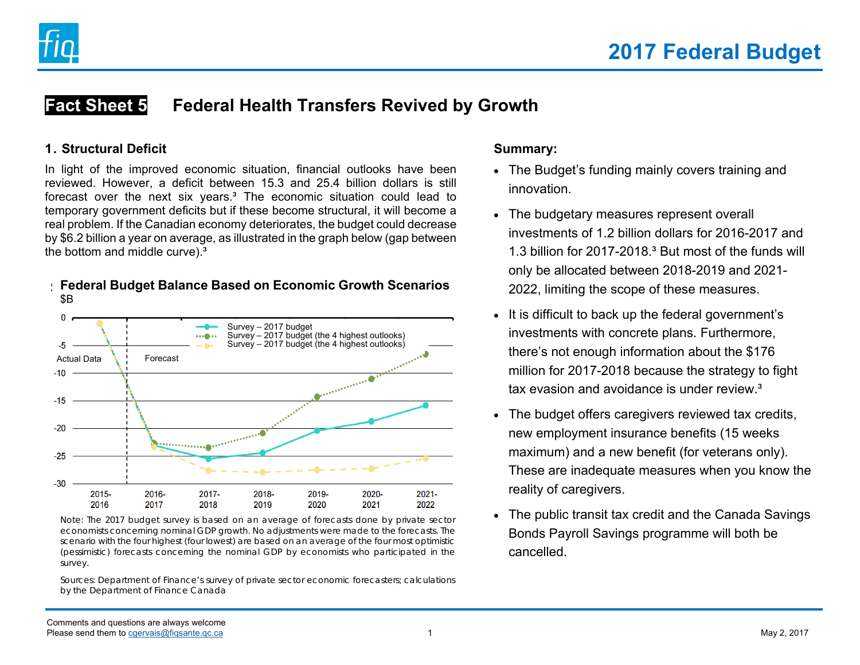

#### **Fact Sheet 5Federal Health Transfers Revived by Growth**

#### **1. Structural Deficit**

In light of the improved economic situation, financial outlooks have been reviewed. However, a deficit between 15.3 and 25.4 billion dollars is still forecast over the next six years.<sup>3</sup> The economic situation could lead to temporary government deficits but if these become structural, it will become a real problem. If the Canadian economy deteriorates, the budget could decrease by \$6.2 billion a year on average, as illustrated in the graph below (gap between the bottom and middle curve).<sup>3</sup>



#### **Federal Budget Balance Based on Economic Growth Scenarios**  \$B

Note: The 2017 budget survey is based on an average of forecasts done by private sector economists concerning nominal GDP growth. No adjustments were made to the forecasts. The scenario with the four highest (four lowest) are based on an average of the four most optimistic (pessimistic) forecasts concerning the nominal GDP by economists who participated in the survey.

Sources: Department of Finance's survey of private sector economic forecasters; calculations by the Department of Finance Canada

#### **Summary:**

- The Budget's funding mainly covers training and innovation.
- The budgetary measures represent overall investments of 1.2 billion dollars for 2016-2017 and 1.3 billion for 2017-2018.<sup>3</sup> But most of the funds will only be allocated between 2018-2019 and 2021- 2022, limiting the scope of these measures.
- It is difficult to back up the federal government's investments with concrete plans. Furthermore, there's not enough information about the \$176 million for 2017-2018 because the strategy to fight tax evasion and avoidance is under review<sup>3</sup>
- The budget offers caregivers reviewed tax credits, new employment insurance benefits (15 weeks maximum) and a new benefit (for veterans only). These are inadequate measures when you know the reality of caregivers.
- The public transit tax credit and the Canada Savings Bonds Payroll Savings programme will both be cancelled.